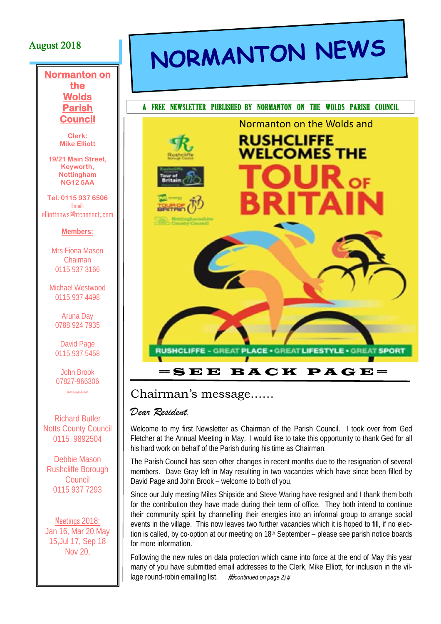### August 2018

#### **Normanton on the Wolds Parish Council**

**Clerk: Mike Elliott** 

**19/21 Main Street, Keyworth, Nottingham NG12 5AA** 

**Tel: 0115 937 6506**  Email: elliottnews@btconnect,.com

#### **Members:**

Mrs Fiona Mason Chairnan 0115 937 3166

Michael Westwood 0115 937 4498

Aruna Day 0788 924 7935

David Page 0115 937 5458

John Brook 07827-966306 #-#-#-#-#-#-#-#

Richard Butler **Notts County Council** 0115 9892504

Debbie Mason Rushcliffe Borough Council 0115 937 7293

Meetings 2018: Jan 16, Mar 20,May 15,Jul 17, Sep 18 Nov 20,

# NORMANTON NEWS



### Chairman's message……

#### *Dear Resident*,

Welcome to my first Newsletter as Chairman of the Parish Council. I took over from Ged Fletcher at the Annual Meeting in May. I would like to take this opportunity to thank Ged for all his hard work on behalf of the Parish during his time as Chairman.

The Parish Council has seen other changes in recent months due to the resignation of several members. Dave Gray left in May resulting in two vacancies which have since been filled by David Page and John Brook – welcome to both of you.

Since our July meeting Miles Shipside and Steve Waring have resigned and I thank them both for the contribution they have made during their term of office. They both intend to continue their community spirit by channelling their energies into an informal group to arrange social events in the village. This now leaves two further vacancies which it is hoped to fill, if no election is called, by co-option at our meeting on 18<sup>th</sup> September – please see parish notice boards for more information.

Following the new rules on data protection which came into force at the end of May this year many of you have submitted email addresses to the Clerk, Mike Elliott, for inclusion in the village round-robin emailing list. ##continued on page 2)#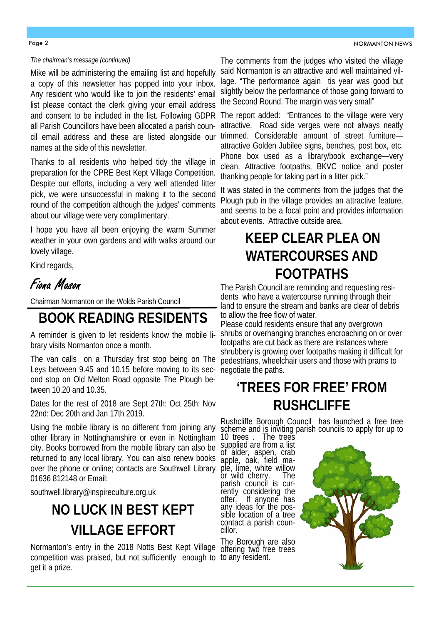#### Page 2

#### *The chairman's message (continued)*

Mike will be administering the emailing list and hopefully a copy of this newsletter has popped into your inbox. Any resident who would like to join the residents' email list please contact the clerk giving your email address and consent to be included in the list. Following GDPR The report added: "Entrances to the village were very all Parish Councillors have been allocated a parish council email address and these are listed alongside our names at the side of this newsletter.

Thanks to all residents who helped tidy the village in preparation for the CPRE Best Kept Village Competition. Despite our efforts, including a very well attended litter pick, we were unsuccessful in making it to the second round of the competition although the judges' comments about our village were very complimentary.

I hope you have all been enjoying the warm Summer weather in your own gardens and with walks around our lovely village.

Kind regards,

### Fiona Mason

Chairman Normanton on the Wolds Parish Council

### **BOOK READING RESIDENTS**

A reminder is given to let residents know the mobile library visits Normanton once a month.

The van calls on a Thursday first stop being on The Leys between 9.45 and 10.15 before moving to its second stop on Old Melton Road opposite The Plough between 10.20 and 10.35.

Dates for the rest of 2018 are Sept 27th: Oct 25th: Nov 22nd: Dec 20th and Jan 17th 2019.

Using the mobile library is no different from joining any other library in Nottinghamshire or even in Nottingham city. Books borrowed from the mobile library can also be returned to any local library. You can also renew books over the phone or online; contacts are Southwell Library ple, lime, white willow 01636 812148 or Email:

southwell.library@inspireculture.org.uk

### **NO LUCK IN BEST KEPT VILLAGE EFFORT**

Normanton's entry in the 2018 Notts Best Kept Village competition was praised, but not sufficiently enough to to any resident. get it a prize.

The comments from the judges who visited the village said Normanton is an attractive and well maintained village. "The performance again tis year was good but slightly below the performance of those going forward to the Second Round. The margin was very small"

attractive. Road side verges were not always neatly trimmed. Considerable amount of street furniture attractive Golden Jubilee signs, benches, post box, etc. Phone box used as a library/book exchange—very clean. Attractive footpaths, BKVC notice and poster thanking people for taking part in a litter pick."

It was stated in the comments from the judges that the Plough pub in the village provides an attractive feature, and seems to be a focal point and provides information about events. Attractive outside area.

### **KEEP CLEAR PLEA ON WATERCOURSES AND FOOTPATHS**

The Parish Council are reminding and requesting residents who have a watercourse running through their land to ensure the stream and banks are clear of debris to allow the free flow of water.

Please could residents ensure that any overgrown shrubs or overhanging branches encroaching on or over footpaths are cut back as there are instances where shrubbery is growing over footpaths making it difficult for pedestrians, wheelchair users and those with prams to negotiate the paths.

### **'TREES FOR FREE' FROM RUSHCLIFFE**

Rushcliffe Borough Council has launched a free tree scheme and is inviting parish councils to apply for up to 10 trees . The trees

supplied are from a list of alder, aspen, crab apple, oak, field maor wild cherry. The parish council is currently considering the offer. If anyone has any ideas for the possible location of a tree contact a parish councillor.

The Borough are also offering two free trees

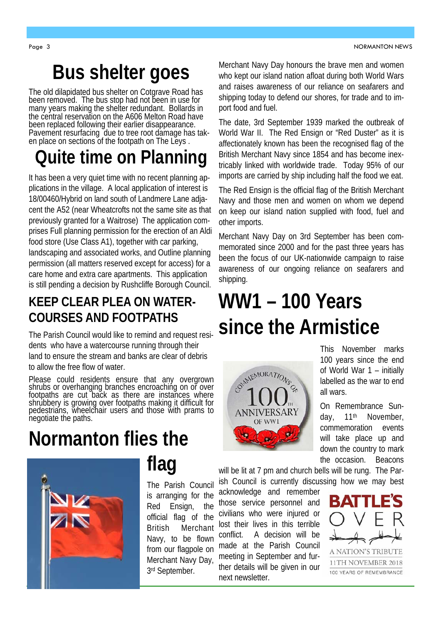## **Bus shelter goes**

The old dilapidated bus shelter on Cotgrave Road has been removed. The bus stop had not been in use for many years making the shelter redundant. Bollards in the central reservation on the A606 Melton Road have been replaced following their earlier disappearance. Pavement resurfacing due to tree root damage has taken place on sections of the footpath on The Leys.

## **Quite time on Planning**

It has been a very quiet time with no recent planning applications in the village. A local application of interest is 18/00460/Hybrid on land south of Landmere Lane adjacent the A52 (near Wheatcrofts not the same site as that previously granted for a Waitrose) The application comprises Full planning permission for the erection of an Aldi food store (Use Class A1), together with car parking, landscaping and associated works, and Outline planning permission (all matters reserved except for access) for a care home and extra care apartments. This application is still pending a decision by Rushcliffe Borough Council.

### **KEEP CLEAR PLEA ON WATER-COURSES AND FOOTPATHS**

The Parish Council would like to remind and request residents who have a watercourse running through their land to ensure the stream and banks are clear of debris to allow the free flow of water.

Please could residents ensure that any overgrown shrubs or overhanging branches encroaching on or over<br>footpaths are cut back as there are instances where shrubbery is growing over footpaths making it difficult for<br>pedestrians, wheelchair users and those with prams to<br>negotiate the paths.

## **Normanton flies the**



## **flag**

The Parish Council is arranging for the Red Ensign, the official flag of the British Merchant Navy, to be flown from our flagpole on Merchant Navy Day, 3rd September.

Merchant Navy Day honours the brave men and women who kept our island nation afloat during both World Wars and raises awareness of our reliance on seafarers and shipping today to defend our shores, for trade and to import food and fuel.

The date, 3rd September 1939 marked the outbreak of World War II. The Red Ensign or "Red Duster" as it is affectionately known has been the recognised flag of the British Merchant Navy since 1854 and has become inextricably linked with worldwide trade. Today 95% of our imports are carried by ship including half the food we eat.

The Red Ensign is the official flag of the British Merchant Navy and those men and women on whom we depend on keep our island nation supplied with food, fuel and other imports.

Merchant Navy Day on 3rd September has been commemorated since 2000 and for the past three years has been the focus of our UK-nationwide campaign to raise awareness of our ongoing reliance on seafarers and shipping.

## **WW1 – 100 Years since the Armistice**



This November marks 100 years since the end of World War 1 – initially labelled as the war to end all wars.

On Remembrance Sunday, 11th November, commemoration events will take place up and down the country to mark the occasion. Beacons

will be lit at 7 pm and church bells will be rung. The Parish Council is currently discussing how we may best

acknowledge and remember those service personnel and civilians who were injured or lost their lives in this terrible conflict. A decision will be made at the Parish Council meeting in September and further details will be given in our next newsletter.